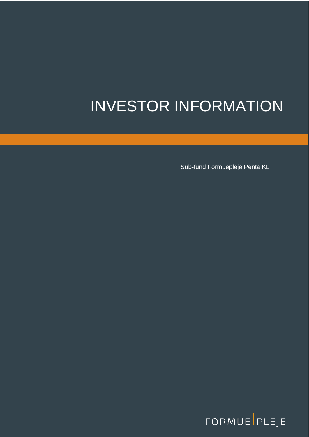# INVESTOR INFORMATION

Sub-fund Formuepleje Penta KL

FORMUE PLEJE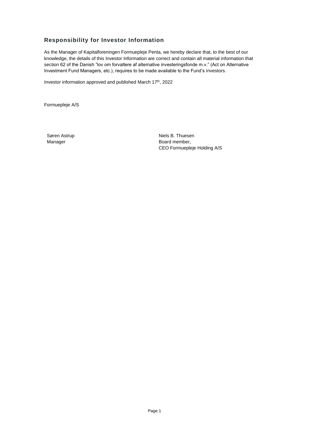# <span id="page-1-0"></span>**Responsibility for Investor Information**

As the Manager of Kapitalforeningen Formuepleje Penta, we hereby declare that, to the best of our knowledge, the details of this Investor Information are correct and contain all material information that section 62 of the Danish "lov om forvaltere af alternative investeringsfonde m.v." (Act on Alternative Investment Fund Managers, etc.), requires to be made available to the Fund's investors.

Investor information approved and published March 17<sup>th</sup>, 2022

Formuepleje A/S

Søren Astrup Manager

Niels B. Thuesen Board member, CEO Formuepleje Holding A/S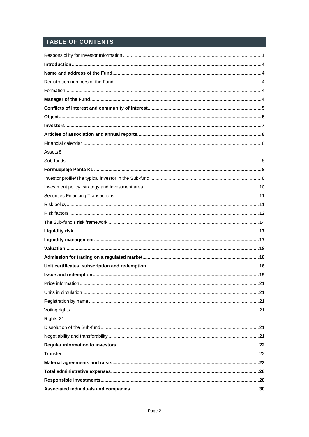# TABLE OF CONTENTS

| Assets 8  |  |
|-----------|--|
|           |  |
|           |  |
|           |  |
|           |  |
|           |  |
|           |  |
|           |  |
|           |  |
|           |  |
|           |  |
|           |  |
|           |  |
|           |  |
|           |  |
|           |  |
|           |  |
|           |  |
|           |  |
| Rights 21 |  |
|           |  |
|           |  |
|           |  |
|           |  |
|           |  |
|           |  |
|           |  |
|           |  |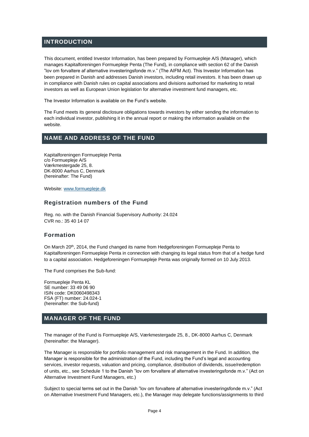# <span id="page-4-0"></span>**INTRODUCTION**

This document, entitled Investor Information, has been prepared by Formuepleje A/S (Manager), which manages Kapitalforeningen Formuepleje Penta (The Fund), in compliance with section 62 of the Danish "lov om forvaltere af alternative investeringsfonde m.v." (The AIFM Act). This Investor Information has been prepared in Danish and addresses Danish investors, including retail investors. It has been drawn up in compliance with Danish rules on capital associations and divisions authorised for marketing to retail investors as well as European Union legislation for alternative investment fund managers, etc.

The Investor Information is available on the Fund's website.

The Fund meets its general disclosure obligations towards investors by either sending the information to each individual investor, publishing it in the annual report or making the information available on the website.

# <span id="page-4-1"></span>**NAME AND ADDRESS OF THE FUND**

Kapitalforeningen Formuepleje Penta c/o Formuepleje A/S Værkmestergade 25, 8. DK-8000 Aarhus C, Denmark (hereinafter: The Fund)

Website[: www.formuepleje.dk](http://www.formuepleje.dk/)

## <span id="page-4-2"></span>**Registration numbers of the Fund**

Reg. no. with the Danish Financial Supervisory Authority: 24.024 CVR no.: 35 40 14 07

## <span id="page-4-3"></span>**Formation**

On March 20<sup>th</sup>, 2014, the Fund changed its name from Hedgeforeningen Formuepleje Penta to Kapitalforeningen Formuepleje Penta in connection with changing its legal status from that of a hedge fund to a capital association. Hedgeforeningen Formuepleje Penta was originally formed on 10 July 2013.

The Fund comprises the Sub-fund:

Formuepleje Penta KL SE number: 33 49 06 90 ISIN code: DK0060498343 FSA (FT) number: 24.024-1 (hereinafter: the Sub-fund)

# <span id="page-4-4"></span>**MANAGER OF THE FUND**

The manager of the Fund is Formuepleje A/S, Værkmestergade 25, 8., DK-8000 Aarhus C, Denmark (hereinafter: the Manager).

The Manager is responsible for portfolio management and risk management in the Fund. In addition, the Manager is responsible for the administration of the Fund, including the Fund's legal and accounting services, investor requests, valuation and pricing, compliance, distribution of dividends, issue/redemption of units, etc., see Schedule 1 to the Danish "lov om forvaltere af alternative investeringsfonde m.v." (Act on Alternative Investment Fund Managers, etc.)

Subject to special terms set out in the Danish "lov om forvaltere af alternative investeringsfonde m.v." (Act on Alternative Investment Fund Managers, etc.), the Manager may delegate functions/assignments to third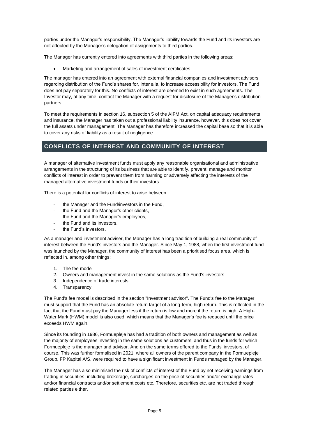parties under the Manager's responsibility. The Manager's liability towards the Fund and its investors are not affected by the Manager's delegation of assignments to third parties.

The Manager has currently entered into agreements with third parties in the following areas:

• Marketing and arrangement of sales of investment certificates

The manager has entered into an agreement with external financial companies and investment advisors regarding distribution of the Fund's shares for, inter alia, to increase accessibility for investors. The Fund does not pay separately for this. No conflicts of interest are deemed to exist in such agreements. The Investor may, at any time, contact the Manager with a request for disclosure of the Manager's distribution partners.

To meet the requirements in section 16, subsection 5 of the AIFM Act, on capital adequacy requirements and insurance, the Manager has taken out a professional liability insurance, however, this does not cover the full assets under management. The Manager has therefore increased the capital base so that it is able to cover any risks of liability as a result of negligence.

# <span id="page-5-0"></span>**CONFLICTS OF INTEREST AND COMMUNITY OF INTEREST**

A manager of alternative investment funds must apply any reasonable organisational and administrative arrangements in the structuring of its business that are able to identify, prevent, manage and monitor conflicts of interest in order to prevent them from harming or adversely affecting the interests of the managed alternative investment funds or their investors.

There is a potential for conflicts of interest to arise between

- the Manager and the Fund/investors in the Fund,
- the Fund and the Manager's other clients,
- the Fund and the Manager's employees.
- the Fund and its investors,
- the Fund's investors.

As a manager and investment adviser, the Manager has a long tradition of building a real community of interest between the Fund's investors and the Manager. Since May 1, 1988, when the first investment fund was launched by the Manager, the community of interest has been a prioritised focus area, which is reflected in, among other things:

- 1. The fee model
- 2. Owners and management invest in the same solutions as the Fund's investors
- 3. Independence of trade interests
- 4. Transparency

The Fund's fee model is described in the section "Investment advisor". The Fund's fee to the Manager must support that the Fund has an absolute return target of a long-term, high return. This is reflected in the fact that the Fund must pay the Manager less if the return is low and more if the return is high. A High-Water Mark (HWM) model is also used, which means that the Manager's fee is reduced until the price exceeds HWM again.

Since its founding in 1986, Formuepleje has had a tradition of both owners and management as well as the majority of employees investing in the same solutions as customers, and thus in the funds for which Formuepleje is the manager and advisor. And on the same terms offered to the Funds' investors, of course. This was further formalised in 2021, where all owners of the parent company in the Formuepleje Group, FP Kapital A/S, were required to have a significant investment in Funds managed by the Manager.

The Manager has also minimised the risk of conflicts of interest of the Fund by not receiving earnings from trading in securities, including brokerage, surcharges on the price of securities and/or exchange rates and/or financial contracts and/or settlement costs etc. Therefore, securities etc. are not traded through related parties either.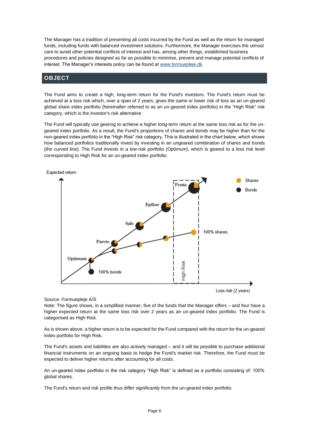The Manager has a tradition of presenting all costs incurred by the Fund as well as the return for managed funds, including funds with balanced investment solutions. Furthermore, the Manager exercises the utmost care to avoid other potential conflicts of interest and has, among other things, established business procedures and policies designed as far as possible to minimise, prevent and manage potential conflicts of interest. The Manager's interests policy can be found a[t www.formuepleje.dk.](http://www.formuepleje.dk/)

## <span id="page-6-0"></span>**OBJECT**

The Fund aims to create a high, long-term return for the Fund's investors. The Fund's return must be achieved at a loss risk which, over a span of 2 years, gives the same or lower risk of loss as an un-geared global share index portfolio (hereinafter referred to as an un-geared index portfolio) in the "High Risk" risk category, which is the investor's risk alternative

The Fund will typically use gearing to achieve a higher long-term return at the same loss risk as for the ungeared index portfolio. As a result, the Fund's proportions of shares and bonds may be higher than for the non-geared index portfolio in the "High Risk" risk category. This is illustrated in the chart below, which shows how balanced portfolios traditionally invest by investing in an ungeared combination of shares and bonds (the curved line). The Fund invests in a low-risk portfolio (Optimum), which is geared to a loss risk level corresponding to High Risk for an un-geared index portfolio.



Source: Formuepleje A/S

Note: The figure shows, in a simplified manner, five of the funds that the Manager offers – and four have a higher expected return at the same loss risk over 2 years as an un-geared index portfolio. The Fund is categorised as High Risk.

As is shown above, a higher return is to be expected for the Fund compared with the return for the un-geared index portfolio for High Risk.

The Fund's assets and liabilities are also actively managed – and it will be possible to purchase additional financial instruments on an ongoing basis to hedge the Fund's market risk. Therefore, the Fund must be expected to deliver higher returns after accounting for all costs.

An un-geared index portfolio in the risk category "High Risk" is defined as a portfolio consisting of: 100% global shares.

The Fund's return and risk profile thus differ significantly from the un-geared index portfolio.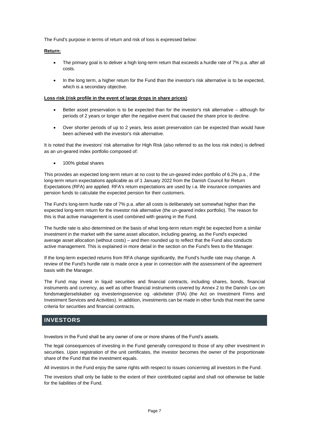The Fund's purpose in terms of return and risk of loss is expressed below:

#### **Return:**

- The primary goal is to deliver a high long-term return that exceeds a hurdle rate of 7% p.a. after all costs.
- In the long term, a higher return for the Fund than the investor's risk alternative is to be expected, which is a secondary objective.

#### **Loss risk (risk profile in the event of large drops in share prices)**:

- Better asset preservation is to be expected than for the investor's risk alternative although for periods of 2 years or longer after the negative event that caused the share price to decline.
- Over shorter periods of up to 2 years, less asset preservation can be expected than would have been achieved with the investor's risk alternative.

It is noted that the investors' risk alternative for High Risk (also referred to as the loss risk index) is defined as an un-geared index portfolio composed of:

• 100% global shares

This provides an expected long-term return at no cost to the un-geared index portfolio of 6.2% p.a., if the long-term return expectations applicable as of 1 January 2022 from the Danish Council for Return Expectations (RFA) are applied. RFA's return expectations are used by i.a. life insurance companies and pension funds to calculate the expected pension for their customers.

The Fund's long-term hurdle rate of 7% p.a. after all costs is deliberately set somewhat higher than the expected long-term return for the investor risk alternative (the un-geared index portfolio). The reason for this is that active management is used combined with gearing in the Fund.

The hurdle rate is also determined on the basis of what long-term return might be expected from a similar investment in the market with the same asset allocation, including gearing, as the Fund's expected average asset allocation (without costs) – and then rounded up to reflect that the Fund also conducts active management. This is explained in more detail in the section on the Fund's fees to the Manager.

If the long-term expected returns from RFA change significantly, the Fund's hurdle rate may change. A review of the Fund's hurdle rate is made once a year in connection with the assessment of the agreement basis with the Manager.

The Fund may invest in liquid securities and financial contracts, including shares, bonds, financial instruments and currency, as well as other financial instruments covered by Annex 2 to the Danish Lov om fondsmæglerselskaber og investeringsservice og -aktiviteter (FIA) (the Act on Investment Firms and Investment Services and Activities). In addition, investments can be made in other funds that meet the same criteria for securities and financial contracts.

# <span id="page-7-0"></span>**INVESTORS**

Investors in the Fund shall be any owner of one or more shares of the Fund's assets.

The legal consequences of investing in the Fund generally correspond to those of any other investment in securities. Upon registration of the unit certificates, the investor becomes the owner of the proportionate share of the Fund that the investment equals.

All investors in the Fund enjoy the same rights with respect to issues concerning all investors in the Fund.

The investors shall only be liable to the extent of their contributed capital and shall not otherwise be liable for the liabilities of the Fund.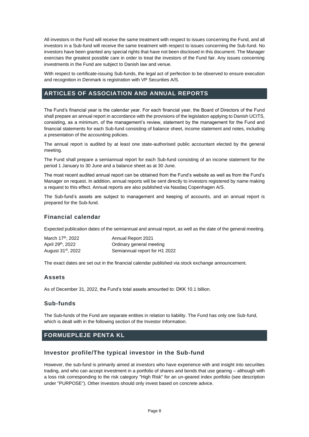All investors in the Fund will receive the same treatment with respect to issues concerning the Fund, and all investors in a Sub-fund will receive the same treatment with respect to issues concerning the Sub-fund. No investors have been granted any special rights that have not been disclosed in this document. The Manager exercises the greatest possible care in order to treat the investors of the Fund fair. Any issues concerning investments in the Fund are subject to Danish law and venue.

With respect to certificate-issuing Sub-funds, the legal act of perfection to be observed to ensure execution and recognition in Denmark is registration with VP Securities A/S.

# <span id="page-8-0"></span>**ARTICLES OF ASSOCIATION AND ANNUAL REPORTS**

The Fund's financial year is the calendar year. For each financial year, the Board of Directors of the Fund shall prepare an annual report in accordance with the provisions of the legislation applying to Danish UCITS, consisting, as a minimum, of the management's review, statement by the management for the Fund and financial statements for each Sub-fund consisting of balance sheet, income statement and notes, including a presentation of the accounting policies.

The annual report is audited by at least one state-authorised public accountant elected by the general meeting.

The Fund shall prepare a semiannual report for each Sub-fund consisting of an income statement for the period 1 January to 30 June and a balance sheet as at 30 June.

The most recent audited annual report can be obtained from the Fund's website as well as from the Fund's Manager on request. In addition, annual reports will be sent directly to investors registered by name making a request to this effect. Annual reports are also published via Nasdaq Copenhagen A/S.

The Sub-fund's assets are subject to management and keeping of accounts, and an annual report is prepared for the Sub-fund.

# <span id="page-8-1"></span>**Financial calendar**

Expected publication dates of the semiannual and annual report, as well as the date of the general meeting.

| March 17 <sup>th</sup> , 2022  | Annual Report 2021            |
|--------------------------------|-------------------------------|
| April 29 <sup>th</sup> , 2022  | Ordinary general meeting      |
| August 31 <sup>st</sup> , 2022 | Semiannual report for H1 2022 |

The exact dates are set out in the financial calendar published via stock exchange announcement.

## <span id="page-8-2"></span>**Assets**

As of December 31, 2022, the Fund's total assets amounted to: DKK 10.1 billion.

## <span id="page-8-3"></span>**Sub-funds**

The Sub-funds of the Fund are separate entities in relation to liability. The Fund has only one Sub-fund, which is dealt with in the following section of the Investor Information.

# <span id="page-8-4"></span>**FORMUEPLEJE PENTA KL**

## <span id="page-8-5"></span>**Investor profile/The typical investor in the Sub-fund**

However, the sub-fund is primarily aimed at investors who have experience with and insight into securities trading, and who can accept investment in a portfolio of shares and bonds that use gearing – although with a loss risk corresponding to the risk category "High Risk" for an un-geared index portfolio (see description under "PURPOSE"). Other investors should only invest based on concrete advice.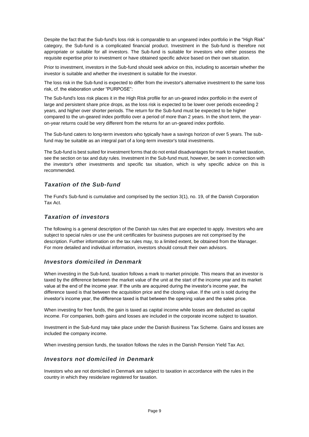Despite the fact that the Sub-fund's loss risk is comparable to an ungeared index portfolio in the "High Risk" category, the Sub-fund is a complicated financial product. Investment in the Sub-fund is therefore not appropriate or suitable for all investors. The Sub-fund is suitable for investors who either possess the requisite expertise prior to investment or have obtained specific advice based on their own situation.

Prior to investment, investors in the Sub-fund should seek advice on this, including to ascertain whether the investor is suitable and whether the investment is suitable for the investor.

The loss risk in the Sub-fund is expected to differ from the investor's alternative investment to the same loss risk, cf. the elaboration under "PURPOSE":

The Sub-fund's loss risk places it in the High Risk profile for an un-geared index portfolio in the event of large and persistent share price drops, as the loss risk is expected to be lower over periods exceeding 2 years, and higher over shorter periods. The return for the Sub-fund must be expected to be higher compared to the un-geared index portfolio over a period of more than 2 years. In the short term, the yearon-year returns could be very different from the returns for an un-geared index portfolio.

The Sub-fund caters to long-term investors who typically have a savings horizon of over 5 years. The subfund may be suitable as an integral part of a long-term investor's total investments.

The Sub-fund is best suited for investment forms that do not entail disadvantages for mark to market taxation, see the section on tax and duty rules. Investment in the Sub-fund must, however, be seen in connection with the investor's other investments and specific tax situation, which is why specific advice on this is recommended.

## *Taxation of the Sub-fund*

The Fund's Sub-fund is cumulative and comprised by the section 3(1), no. 19, of the Danish Corporation Tax Act.

## *Taxation of investors*

The following is a general description of the Danish tax rules that are expected to apply. Investors who are subject to special rules or use the unit certificates for business purposes are not comprised by the description. Further information on the tax rules may, to a limited extent, be obtained from the Manager. For more detailed and individual information, investors should consult their own advisors.

## *Investors domiciled in Denmark*

When investing in the Sub-fund, taxation follows a mark to market principle. This means that an investor is taxed by the difference between the market value of the unit at the start of the income year and its market value at the end of the income year. If the units are acquired during the investor's income year, the difference taxed is that between the acquisition price and the closing value. If the unit is sold during the investor's income year, the difference taxed is that between the opening value and the sales price.

When investing for free funds, the gain is taxed as capital income while losses are deducted as capital income. For companies, both gains and losses are included in the corporate income subject to taxation.

Investment in the Sub-fund may take place under the Danish Business Tax Scheme. Gains and losses are included the company income.

When investing pension funds, the taxation follows the rules in the Danish Pension Yield Tax Act.

## *Investors not domiciled in Denmark*

Investors who are not domiciled in Denmark are subject to taxation in accordance with the rules in the country in which they reside/are registered for taxation.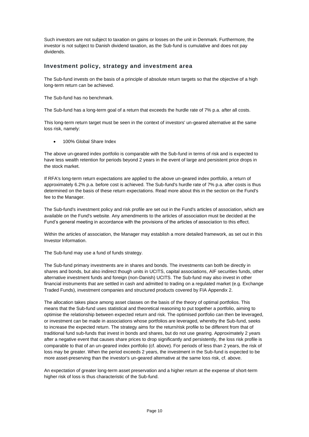Such investors are not subject to taxation on gains or losses on the unit in Denmark. Furthermore, the investor is not subject to Danish dividend taxation, as the Sub-fund is cumulative and does not pay dividends.

## <span id="page-10-0"></span>**Investment policy, strategy and investment area**

The Sub-fund invests on the basis of a principle of absolute return targets so that the objective of a high long-term return can be achieved.

The Sub-fund has no benchmark.

The Sub-fund has a long-term goal of a return that exceeds the hurdle rate of 7% p.a. after all costs.

This long-term return target must be seen in the context of investors' un-geared alternative at the same loss risk, namely:

• 100% Global Share Index

The above un-geared index portfolio is comparable with the Sub-fund in terms of risk and is expected to have less wealth retention for periods beyond 2 years in the event of large and persistent price drops in the stock market.

If RFA's long-term return expectations are applied to the above un-geared index portfolio, a return of approximately 6.2% p.a. before cost is achieved. The Sub-fund's hurdle rate of 7% p.a. after costs is thus determined on the basis of these return expectations. Read more about this in the section on the Fund's fee to the Manager.

The Sub-fund's investment policy and risk profile are set out in the Fund's articles of association, which are available on the Fund's website. Any amendments to the articles of association must be decided at the Fund's general meeting in accordance with the provisions of the articles of association to this effect.

Within the articles of association, the Manager may establish a more detailed framework, as set out in this Investor Information.

The Sub-fund may use a fund of funds strategy.

The Sub-fund primary investments are in shares and bonds. The investments can both be directly in shares and bonds, but also indirect though units in UCITS, capital associations, AIF securities funds, other alternative investment funds and foreign (non-Danish) UCITS. The Sub-fund may also invest in other financial instruments that are settled in cash and admitted to trading on a regulated market (e.g. Exchange Traded Funds), investment companies and structured products covered by FIA Appendix 2.

The allocation takes place among asset classes on the basis of the theory of optimal portfolios. This means that the Sub-fund uses statistical and theoretical reasoning to put together a portfolio, aiming to optimise the relationship between expected return and risk. The optimised portfolio can then be leveraged, or investment can be made in associations whose portfolios are leveraged, whereby the Sub-fund, seeks to increase the expected return. The strategy aims for the return/risk profile to be different from that of traditional fund sub-funds that invest in bonds and shares, but do not use gearing. Approximately 2 years after a negative event that causes share prices to drop significantly and persistently, the loss risk profile is comparable to that of an un-geared index portfolio (cf. above). For periods of less than 2 years, the risk of loss may be greater. When the period exceeds 2 years, the investment in the Sub-fund is expected to be more asset-preserving than the investor's un-geared alternative at the same loss risk, cf. above.

An expectation of greater long-term asset preservation and a higher return at the expense of short-term higher risk of loss is thus characteristic of the Sub-fund.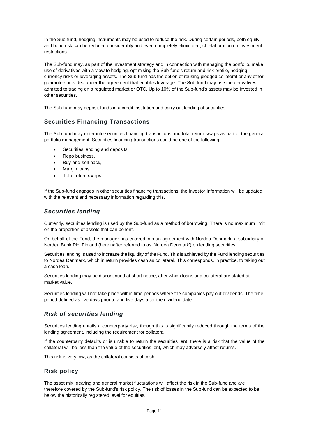In the Sub-fund, hedging instruments may be used to reduce the risk. During certain periods, both equity and bond risk can be reduced considerably and even completely eliminated, cf. elaboration on investment restrictions.

The Sub-fund may, as part of the investment strategy and in connection with managing the portfolio, make use of derivatives with a view to hedging, optimising the Sub-fund's return and risk profile, hedging currency risks or leveraging assets. The Sub-fund has the option of reusing pledged collateral or any other guarantee provided under the agreement that enables leverage. The Sub-fund may use the derivatives admitted to trading on a regulated market or OTC. Up to 10% of the Sub-fund's assets may be invested in other securities.

The Sub-fund may deposit funds in a credit institution and carry out lending of securities.

# <span id="page-11-0"></span>**Securities Financing Transactions**

The Sub-fund may enter into securities financing transactions and total return swaps as part of the general portfolio management. Securities financing transactions could be one of the following:

- Securities lending and deposits
- Repo business,
- Buy-and-sell-back,
- Margin loans
- Total return swaps'

If the Sub-fund engages in other securities financing transactions, the Investor Information will be updated with the relevant and necessary information regarding this.

## *Securities lending*

Currently, securities lending is used by the Sub-fund as a method of borrowing. There is no maximum limit on the proportion of assets that can be lent.

On behalf of the Fund, the manager has entered into an agreement with Nordea Denmark, a subsidiary of Nordea Bank Plc, Finland (hereinafter referred to as 'Nordea Denmark') on lending securities.

Securities lending is used to increase the liquidity of the Fund. This is achieved by the Fund lending securities to Nordea Danmark, which in return provides cash as collateral. This corresponds, in practice, to taking out a cash loan.

Securities lending may be discontinued at short notice, after which loans and collateral are stated at market value.

Securities lending will not take place within time periods where the companies pay out dividends. The time period defined as five days prior to and five days after the dividend date.

# *Risk of securities lending*

Securities lending entails a counterparty risk, though this is significantly reduced through the terms of the lending agreement, including the requirement for collateral.

If the counterparty defaults or is unable to return the securities lent, there is a risk that the value of the collateral will be less than the value of the securities lent, which may adversely affect returns.

This risk is very low, as the collateral consists of cash.

## <span id="page-11-1"></span>**Risk policy**

The asset mix, gearing and general market fluctuations will affect the risk in the Sub-fund and are therefore covered by the Sub-fund's risk policy. The risk of losses in the Sub-fund can be expected to be below the historically registered level for equities.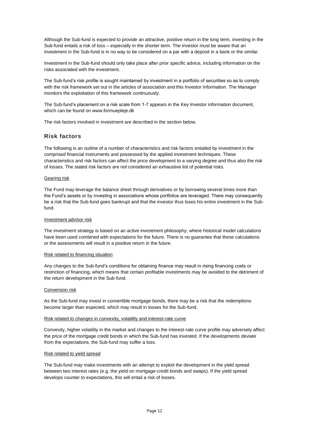Although the Sub-fund is expected to provide an attractive, positive return in the long term, investing in the Sub-fund entails a risk of loss – especially in the shorter term. The investor must be aware that an investment in the Sub-fund is in no way to be considered on a par with a deposit in a bank or the similar.

Investment in the Sub-fund should only take place after prior specific advice, including information on the risks associated with the investment.

The Sub-fund's risk profile is sought maintained by investment in a portfolio of securities so as to comply with the risk framework set out in the articles of association and this Investor Information. The Manager monitors the exploitation of this framework continuously.

The Sub-fund's placement on a risk scale from 1-7 appears in the Key Investor information document, which can be found on www.formuepleje.dk

The risk factors involved in investment are described in the section below.

## <span id="page-12-0"></span>**Risk factors**

The following is an outline of a number of characteristics and risk factors entailed by investment in the comprised financial instruments and possessed by the applied investment techniques. These characteristics and risk factors can affect the price development to a varying degree and thus also the risk of losses. The stated risk factors are not considered an exhaustive list of potential risks.

#### Gearing risk

The Fund may leverage the balance sheet through derivatives or by borrowing several times more than the Fund's assets or by investing in associations whose portfolios are leveraged. There may consequently be a risk that the Sub-fund goes bankrupt and that the investor thus loses his entire investment in the Subfund.

#### Investment advisor risk

The investment strategy is based on an active investment philosophy, where historical model calculations have been used combined with expectations for the future. There is no guarantee that these calculations or the assessments will result in a positive return in the future.

#### Risk related to financing situation

Any changes to the Sub-fund's conditions for obtaining finance may result in rising financing costs or restriction of financing, which means that certain profitable investments may be avoided to the detriment of the return development in the Sub-fund.

#### Conversion risk

As the Sub-fund may invest in convertible mortgage bonds, there may be a risk that the redemptions become larger than expected, which may result in losses for the Sub-fund.

#### Risk related to changes in convexity, volatility and interest-rate curve

Convexity, higher volatility in the market and changes to the interest-rate curve profile may adversely affect the price of the mortgage credit bonds in which the Sub-fund has invested. If the developments deviate from the expectations, the Sub-fund may suffer a loss.

#### Risk related to yield spread

The Sub-fund may make investments with an attempt to exploit the development in the yield spread between two interest rates (e.g. the yield on mortgage-credit bonds and swaps). If the yield spread develops counter to expectations, this will entail a risk of losses.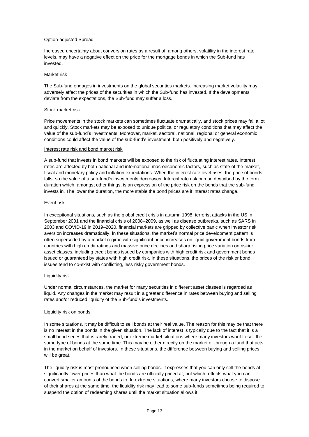#### Option-adjusted Spread

Increased uncertainty about conversion rates as a result of, among others, volatility in the interest rate levels, may have a negative effect on the price for the mortgage bonds in which the Sub-fund has invested.

#### Market risk

The Sub-fund engages in investments on the global securities markets. Increasing market volatility may adversely affect the prices of the securities in which the Sub-fund has invested. If the developments deviate from the expectations, the Sub-fund may suffer a loss.

#### Stock market risk

Price movements in the stock markets can sometimes fluctuate dramatically, and stock prices may fall a lot and quickly. Stock markets may be exposed to unique political or regulatory conditions that may affect the value of the sub-fund's investments. Moreover, market, sectoral, national, regional or general economic conditions could affect the value of the sub-fund's investment, both positively and negatively.

#### Interest rate risk and bond market risk

A sub-fund that invests in bond markets will be exposed to the risk of fluctuating interest rates. Interest rates are affected by both national and international macroeconomic factors, such as state of the market, fiscal and monetary policy and inflation expectations. When the interest rate level rises, the price of bonds falls, so the value of a sub-fund's investments decreases. Interest rate risk can be described by the term duration which, amongst other things, is an expression of the price risk on the bonds that the sub-fund invests in. The lower the duration, the more stable the bond prices are if interest rates change.

#### Event risk

In exceptional situations, such as the global credit crisis in autumn 1998, terrorist attacks in the US in September 2001 and the financial crisis of 2008–2009, as well as disease outbreaks, such as SARS in 2003 and COVID-19 in 2019–2020, financial markets are gripped by collective panic when investor risk aversion increases dramatically. In these situations, the market's normal price development pattern is often superseded by a market regime with significant price increases on liquid government bonds from countries with high credit ratings and massive price declines and sharp rising price variation on riskier asset classes, including credit bonds issued by companies with high credit risk and government bonds issued or guaranteed by states with high credit risk. In these situations, the prices of the riskier bond issues tend to co-exist with conflicting, less risky government bonds.

#### Liquidity risk

Under normal circumstances, the market for many securities in different asset classes is regarded as liquid. Any changes in the market may result in a greater difference in rates between buying and selling rates and/or reduced liquidity of the Sub-fund's investments.

#### Liquidity risk on bonds

In some situations, it may be difficult to sell bonds at their real value. The reason for this may be that there is no interest in the bonds in the given situation. The lack of interest is typically due to the fact that it is a small bond series that is rarely traded, or extreme market situations where many investors want to sell the same type of bonds at the same time. This may be either directly on the market or through a fund that acts in the market on behalf of investors. In these situations, the difference between buying and selling prices will be great.

The liquidity risk is most pronounced when selling bonds. It expresses that you can only sell the bonds at significantly lower prices than what the bonds are officially priced at, but which reflects what you can convert smaller amounts of the bonds to. In extreme situations, where many investors choose to dispose of their shares at the same time, the liquidity risk may lead to some sub-funds sometimes being required to suspend the option of redeeming shares until the market situation allows it.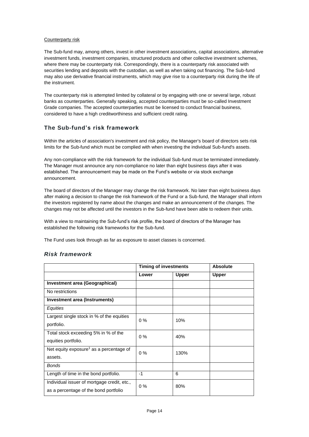#### Counterparty risk

The Sub-fund may, among others, invest in other investment associations, capital associations, alternative investment funds, investment companies, structured products and other collective investment schemes, where there may be counterparty risk. Correspondingly, there is a counterparty risk associated with securities lending and deposits with the custodian, as well as when taking out financing. The Sub-fund may also use derivative financial instruments, which may give rise to a counterparty risk during the life of the instrument.

The counterparty risk is attempted limited by collateral or by engaging with one or several large, robust banks as counterparties. Generally speaking, accepted counterparties must be so-called Investment Grade companies. The accepted counterparties must be licensed to conduct financial business, considered to have a high creditworthiness and sufficient credit rating.

## <span id="page-14-0"></span>**The Sub-fund's risk framework**

Within the articles of association's investment and risk policy, the Manager's board of directors sets risk limits for the Sub-fund which must be complied with when investing the individual Sub-fund's assets.

Any non-compliance with the risk framework for the individual Sub-fund must be terminated immediately. The Manager must announce any non-compliance no later than eight business days after it was established. The announcement may be made on the Fund's website or via stock exchange announcement.

The board of directors of the Manager may change the risk framework. No later than eight business days after making a decision to change the risk framework of the Fund or a Sub-fund, the Manager shall inform the investors registered by name about the changes and make an announcement of the changes. The changes may not be affected until the investors in the Sub-fund have been able to redeem their units.

With a view to maintaining the Sub-fund's risk profile, the board of directors of the Manager has established the following risk frameworks for the Sub-fund.

The Fund uses look through as far as exposure to asset classes is concerned.

|                                                     | <b>Timing of investments</b> |              | <b>Absolute</b> |
|-----------------------------------------------------|------------------------------|--------------|-----------------|
|                                                     | Lower                        | <b>Upper</b> | Upper           |
| <b>Investment area (Geographical)</b>               |                              |              |                 |
| No restrictions                                     |                              |              |                 |
| Investment area (Instruments)                       |                              |              |                 |
| Equities                                            |                              |              |                 |
| Largest single stock in % of the equities           | 0%                           | 10%          |                 |
| portfolio.                                          |                              |              |                 |
| Total stock exceeding 5% in % of the                | $0\%$                        | 40%          |                 |
| equities portfolio.                                 |                              |              |                 |
| Net equity exposure <sup>1</sup> as a percentage of | $0\%$                        | 130%         |                 |
| assets.                                             |                              |              |                 |
| <b>Bonds</b>                                        |                              |              |                 |
| Length of time in the bond portfolio.               | $-1$                         | 6            |                 |
| Individual issuer of mortgage credit, etc.,         | $0\%$                        | 80%          |                 |
| as a percentage of the bond portfolio               |                              |              |                 |

## *Risk framework*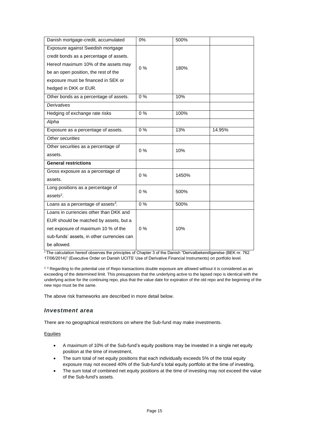| Danish mortgage-credit, accumulated            | 0%    | 500%  |        |
|------------------------------------------------|-------|-------|--------|
| Exposure against Swedish mortgage              |       |       |        |
| credit bonds as a percentage of assets.        |       |       |        |
| Hereof maximum 10% of the assets may           | 0%    | 180%  |        |
| be an open position, the rest of the           |       |       |        |
| exposure must be financed in SEK or            |       |       |        |
| hedged in DKK or EUR.                          |       |       |        |
| Other bonds as a percentage of assets.         | $0\%$ | 10%   |        |
| Derivatives                                    |       |       |        |
| Hedging of exchange rate risks                 | 0%    | 100%  |        |
| Alpha                                          |       |       |        |
| Exposure as a percentage of assets.            | 0%    | 13%   | 14.95% |
| Other securities                               |       |       |        |
| Other securities as a percentage of            | 0%    | 10%   |        |
| assets.                                        |       |       |        |
| <b>General restrictions</b>                    |       |       |        |
| Gross exposure as a percentage of              | $0\%$ | 1450% |        |
| assets.                                        |       |       |        |
| Long positions as a percentage of              | $0\%$ | 500%  |        |
| assets <sup>2</sup> .                          |       |       |        |
| Loans as a percentage of assets <sup>3</sup> . | 0%    | 500%  |        |
| Loans in currencies other than DKK and         |       |       |        |
| EUR should be matched by assets, but a         |       |       |        |
| net exposure of maximum 10 % of the            | 0%    | 10%   |        |
| sub-funds' assets, in other currencies can     |       |       |        |
| be allowed.                                    |       |       |        |

<sup>1</sup> The calculation hereof observes the principles of Chapter 3 of the Danish "Derivatbekendtgørelse (BEK nr. 762 17/06/2014)" (Executive Order on Danish UCITS' Use of Derivative Financial Instruments) on portfolio level.

<sup>2, 3</sup> Regarding to the potential use of Repo transactions double exposure are allowed without it is considered as an exceeding of the determined limit. This presupposes that the underlying active to the lapsed repo is identical with the underlying active for the continuing repo, plus that the value date for expiration of the old repo and the beginning of the new repo must be the same.

The above risk frameworks are described in more detail below.

## *Investment area*

There are no geographical restrictions on where the Sub-fund may make investments.

## **Equities**

- A maximum of 10% of the Sub-fund's equity positions may be invested in a single net equity position at the time of investment,
- The sum total of net equity positions that each individually exceeds 5% of the total equity exposure may not exceed 40% of the Sub-fund's total equity portfolio at the time of investing,
- The sum total of combined net equity positions at the time of investing may not exceed the value of the Sub-fund's assets.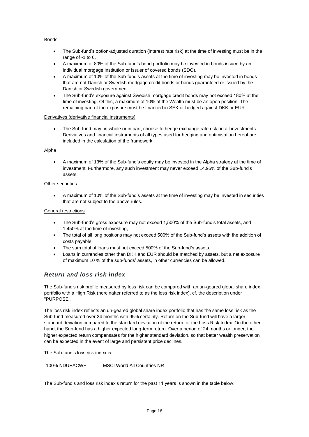## Bonds

- The Sub-fund's option-adjusted duration (interest rate risk) at the time of investing must be in the range of -1 to 6,
- A maximum of 80% of the Sub-fund's bond portfolio may be invested in bonds issued by an individual mortgage institution or issuer of covered bonds (SDO),
- A maximum of 10% of the Sub-fund's assets at the time of investing may be invested in bonds that are not Danish or Swedish mortgage credit bonds or bonds guaranteed or issued by the Danish or Swedish government.
- The Sub-fund's exposure against Swedish mortgage credit bonds may not exceed 180% at the time of investing. Of this, a maximum of 10% of the Wealth must be an open position. The remaining part of the exposure must be financed in SEK or hedged against DKK or EUR.

## Derivatives (derivative financial instruments)

• The Sub-fund may, in whole or in part, choose to hedge exchange rate risk on all investments. Derivatives and financial instruments of all types used for hedging and optimisation hereof are included in the calculation of the framework.

## Alpha

• A maximum of 13% of the Sub-fund's equity may be invested in the Alpha strategy at the time of investment. Furthermore, any such investment may never exceed 14.95% of the Sub-fund's assets.

## Other securities

• A maximum of 10% of the Sub-fund's assets at the time of investing may be invested in securities that are not subject to the above rules.

## General restrictions

- The Sub-fund's gross exposure may not exceed 1,500% of the Sub-fund's total assets, and 1,450% at the time of investing,
- The total of all long positions may not exceed 500% of the Sub-fund's assets with the addition of costs payable,
- The sum total of loans must not exceed 500% of the Sub-fund's assets,
- Loans in currencies other than DKK and EUR should be matched by assets, but a net exposure of maximum 10 % of the sub-funds' assets, in other currencies can be allowed.

## *Return and loss risk index*

The Sub-fund's risk profile measured by loss risk can be compared with an un-geared global share index portfolio with a High Risk (hereinafter referred to as the loss risk index), cf. the description under "PURPOSE".

The loss risk index reflects an un-geared global share index portfolio that has the same loss risk as the Sub-fund measured over 24 months with 95% certainty. Return on the Sub-fund will have a larger standard deviation compared to the standard deviation of the return for the Loss Risk Index. On the other hand, the Sub-fund has a higher expected long-term return. Over a period of 24 months or longer, the higher expected return compensates for the higher standard deviation, so that better wealth preservation can be expected in the event of large and persistent price declines.

## The Sub-fund's loss risk index is:

100% NDUEACWF MSCI World All Countries NR

The Sub-fund's and loss risk index's return for the past 11 years is shown in the table below: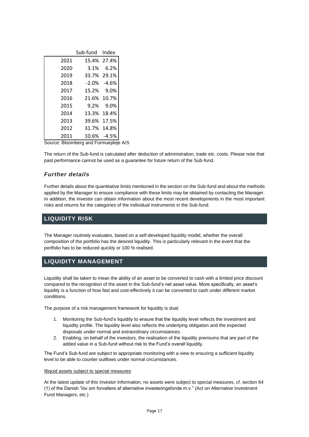|      | Sub-fund Index |                 |
|------|----------------|-----------------|
| 2021 |                | 15.4% 27.4%     |
| 2020 | 3.1%           | 6.2%            |
| 2019 | 33.7%          | 29.1%           |
| 2018 |                | $-2.0\% -4.6\%$ |
| 2017 | 15.2% 9.0%     |                 |
| 2016 | 21.6% 10.7%    |                 |
| 2015 | 9.2%           | 9.0%            |
| 2014 | 13.3%          | 18.4%           |
| 2013 | 39.6%          | 17.5%           |
| 2012 | 31.7%          | 14.8%           |
| 2011 |                | 10.6% -4.5%     |

Source: Bloomberg and Formuepleje A/S

The return of the Sub-fund is calculated after deduction of administration, trade etc. costs. Please note that past performance cannot be used as a guarantee for future return of the Sub-fund.

# *Further details*

Further details about the quantitative limits mentioned in the section on the Sub-fund and about the methods applied by the Manager to ensure compliance with these limits may be obtained by contacting the Manager. In addition, the investor can obtain information about the most recent developments in the most important risks and returns for the categories of the individual instruments in the Sub-fund.

# <span id="page-17-0"></span>**LIQUIDITY RISK**

The Manager routinely evaluates, based on a self-developed liquidity model, whether the overall composition of the portfolio has the desired liquidity. This is particularly relevant in the event that the portfolio has to be reduced quickly or 100 % realised.

# <span id="page-17-1"></span>**LIQUIDITY MANAGEMENT**

Liquidity shall be taken to mean the ability of an asset to be converted to cash with a limited price discount compared to the recognition of the asset in the Sub-fund's net asset value. More specifically, an asset's liquidity is a function of how fast and cost-effectively it can be converted to cash under different market conditions.

The purpose of a risk management framework for liquidity is dual:

- 1. Monitoring the Sub-fund's liquidity to ensure that the liquidity level reflects the investment and liquidity profile. The liquidity level also reflects the underlying obligation and the expected disposals under normal and extraordinary circumstances.
- 2. Enabling, on behalf of the investors, the realisation of the liquidity premiums that are part of the added value in a Sub-fund without risk to the Fund's overall liquidity.

The Fund's Sub-fund are subject to appropriate monitoring with a view to ensuring a sufficient liquidity level to be able to counter outflows under normal circumstances.

#### Illiquid assets subject to special measures

At the latest update of this Investor Information, no assets were subject to special measures, cf. section 64 (1) of the Danish "lov om forvaltere af alternative investeringsfonde m.v." (Act on Alternative Investment Fund Managers, etc.)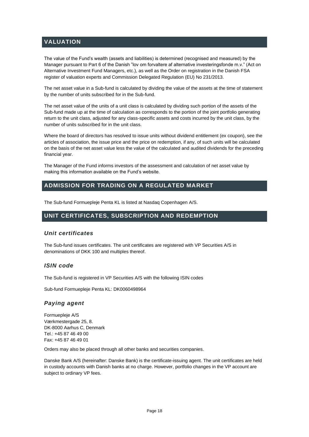# <span id="page-18-0"></span>**VALUATION**

The value of the Fund's wealth (assets and liabilities) is determined (recognised and measured) by the Manager pursuant to Part 6 of the Danish "lov om forvaltere af alternative investeringsfonde m.v." (Act on Alternative Investment Fund Managers, etc.), as well as the Order on registration in the Danish FSA register of valuation experts and Commission Delegated Regulation (EU) No 231/2013.

The net asset value in a Sub-fund is calculated by dividing the value of the assets at the time of statement by the number of units subscribed for in the Sub-fund.

The net asset value of the units of a unit class is calculated by dividing such portion of the assets of the Sub-fund made up at the time of calculation as corresponds to the portion of the joint portfolio generating return to the unit class, adjusted for any class-specific assets and costs incurred by the unit class, by the number of units subscribed for in the unit class.

Where the board of directors has resolved to issue units without dividend entitlement (ex coupon), see the articles of association, the issue price and the price on redemption, if any, of such units will be calculated on the basis of the net asset value less the value of the calculated and audited dividends for the preceding financial year.

The Manager of the Fund informs investors of the assessment and calculation of net asset value by making this information available on the Fund's website.

# <span id="page-18-1"></span>**ADMISSION FOR TRADING ON A REGULATED MARKET**

The Sub-fund Formuepleje Penta KL is listed at Nasdaq Copenhagen A/S.

# <span id="page-18-2"></span>**UNIT CERTIFICATES, SUBSCRIPTION AND REDEMPTION**

## *Unit certificates*

The Sub-fund issues certificates. The unit certificates are registered with VP Securities A/S in denominations of DKK 100 and multiples thereof.

## *ISIN code*

The Sub-fund is registered in VP Securities A/S with the following ISIN codes

Sub-fund Formuepleje Penta KL: DK0060498964

# *Paying agent*

Formuepleje A/S Værkmestergade 25, 8. DK-8000 Aarhus C, Denmark Tel.: +45 87 46 49 00 Fax: +45 87 46 49 01

Orders may also be placed through all other banks and securities companies.

Danske Bank A/S (hereinafter: Danske Bank) is the certificate-issuing agent. The unit certificates are held in custody accounts with Danish banks at no charge. However, portfolio changes in the VP account are subject to ordinary VP fees.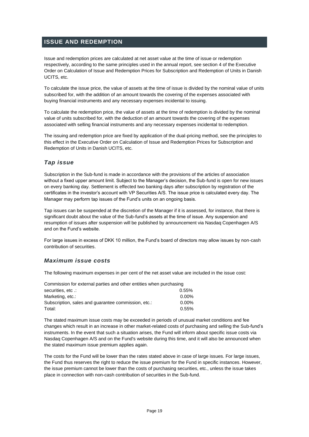# <span id="page-19-0"></span>**ISSUE AND REDEMPTION**

Issue and redemption prices are calculated at net asset value at the time of issue or redemption respectively, according to the same principles used in the annual report, see section 4 of the Executive Order on Calculation of Issue and Redemption Prices for Subscription and Redemption of Units in Danish UCITS, etc.

To calculate the issue price, the value of assets at the time of issue is divided by the nominal value of units subscribed for, with the addition of an amount towards the covering of the expenses associated with buying financial instruments and any necessary expenses incidental to issuing.

To calculate the redemption price, the value of assets at the time of redemption is divided by the nominal value of units subscribed for, with the deduction of an amount towards the covering of the expenses associated with selling financial instruments and any necessary expenses incidental to redemption.

The issuing and redemption price are fixed by application of the dual-pricing method, see the principles to this effect in the Executive Order on Calculation of Issue and Redemption Prices for Subscription and Redemption of Units in Danish UCITS, etc.

# *Tap issue*

Subscription in the Sub-fund is made in accordance with the provisions of the articles of association without a fixed upper amount limit. Subject to the Manager's decision, the Sub-fund is open for new issues on every banking day. Settlement is effected two banking days after subscription by registration of the certificates in the investor's account with VP Securities A/S. The issue price is calculated every day. The Manager may perform tap issues of the Fund's units on an ongoing basis.

Tap issues can be suspended at the discretion of the Manager if it is assessed, for instance, that there is significant doubt about the value of the Sub-fund's assets at the time of issue. Any suspension and resumption of issues after suspension will be published by announcement via Nasdaq Copenhagen A/S and on the Fund's website.

For large issues in excess of DKK 10 million, the Fund's board of directors may allow issues by non-cash contribution of securities.

# *Maximum issue costs*

The following maximum expenses in per cent of the net asset value are included in the issue cost:

| Commission for external parties and other entities when purchasing |          |  |  |  |
|--------------------------------------------------------------------|----------|--|--|--|
| securities, etc.:                                                  | $0.55\%$ |  |  |  |
| Marketing, etc.:                                                   | $0.00\%$ |  |  |  |
| Subscription, sales and quarantee commission, etc.:                | $0.00\%$ |  |  |  |
| Total:                                                             | 0.55%    |  |  |  |

The stated maximum issue costs may be exceeded in periods of unusual market conditions and fee changes which result in an increase in other market-related costs of purchasing and selling the Sub-fund's instruments. In the event that such a situation arises, the Fund will inform about specific issue costs via Nasdaq Copenhagen A/S and on the Fund's website during this time, and it will also be announced when the stated maximum issue premium applies again.

The costs for the Fund will be lower than the rates stated above in case of large issues. For large issues, the Fund thus reserves the right to reduce the issue premium for the Fund in specific instances. However, the issue premium cannot be lower than the costs of purchasing securities, etc., unless the issue takes place in connection with non-cash contribution of securities in the Sub-fund.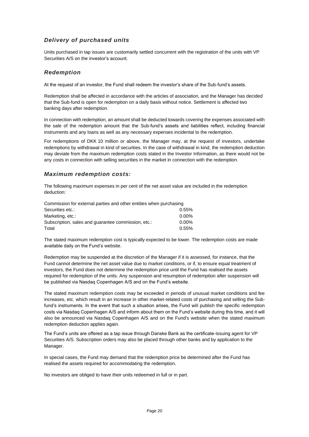# *Delivery of purchased units*

Units purchased in tap issues are customarily settled concurrent with the registration of the units with VP Securities A/S on the investor's account.

## *Redemption*

At the request of an investor, the Fund shall redeem the investor's share of the Sub-fund's assets.

Redemption shall be affected in accordance with the articles of association, and the Manager has decided that the Sub-fund is open for redemption on a daily basis without notice. Settlement is affected two banking days after redemption.

In connection with redemption, an amount shall be deducted towards covering the expenses associated with the sale of the redemption amount that the Sub-fund's assets and liabilities reflect, including financial instruments and any loans as well as any necessary expenses incidental to the redemption.

For redemptions of DKK 10 million or above, the Manager may, at the request of investors, undertake redemptions by withdrawal in kind of securities. In the case of withdrawal in kind, the redemption deduction may deviate from the maximum redemption costs stated in the Investor Information, as there would not be any costs in connection with selling securities in the market in connection with the redemption.

## *Maximum redemption costs:*

The following maximum expenses in per cent of the net asset value are included in the redemption deduction:

| Commission for external parties and other entities when purchasing |          |  |  |
|--------------------------------------------------------------------|----------|--|--|
| Securities etc.:                                                   | $0.55\%$ |  |  |
| Marketing, etc.:                                                   | $0.00\%$ |  |  |
| Subscription, sales and quarantee commission, etc.:                | $0.00\%$ |  |  |
| Total                                                              | $0.55\%$ |  |  |

The stated maximum redemption cost is typically expected to be lower. The redemption costs are made available daily on the Fund's website.

Redemption may be suspended at the discretion of the Manager if it is assessed, for instance, that the Fund cannot determine the net asset value due to market conditions, or if, to ensure equal treatment of investors, the Fund does not determine the redemption price until the Fund has realised the assets required for redemption of the units. Any suspension and resumption of redemption after suspension will be published via Nasdaq Copenhagen A/S and on the Fund's website.

The stated maximum redemption costs may be exceeded in periods of unusual market conditions and fee increases, etc. which result in an increase in other market-related costs of purchasing and selling the Subfund's instruments. In the event that such a situation arises, the Fund will publish the specific redemption costs via Nasdaq Copenhagen A/S and inform about them on the Fund's website during this time, and it will also be announced via Nasdaq Copenhagen A/S and on the Fund's website when the stated maximum redemption deduction applies again.

The Fund's units are offered as a tap issue through Danske Bank as the certificate-issuing agent for VP Securities A/S. Subscription orders may also be placed through other banks and by application to the Manager.

In special cases, the Fund may demand that the redemption price be determined after the Fund has realised the assets required for accommodating the redemption.

No investors are obliged to have their units redeemed in full or in part.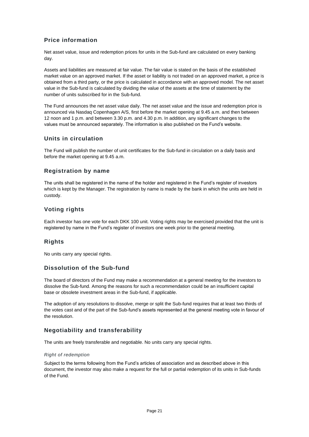# <span id="page-21-0"></span>**Price information**

Net asset value, issue and redemption prices for units in the Sub-fund are calculated on every banking day.

Assets and liabilities are measured at fair value. The fair value is stated on the basis of the established market value on an approved market. If the asset or liability is not traded on an approved market, a price is obtained from a third party, or the price is calculated in accordance with an approved model. The net asset value in the Sub-fund is calculated by dividing the value of the assets at the time of statement by the number of units subscribed for in the Sub-fund.

The Fund announces the net asset value daily. The net asset value and the issue and redemption price is announced via Nasdaq Copenhagen A/S, first before the market opening at 9.45 a.m. and then between 12 noon and 1 p.m. and between 3.30 p.m. and 4.30 p.m. In addition, any significant changes to the values must be announced separately. The information is also published on the Fund's website.

# <span id="page-21-1"></span>**Units in circulation**

The Fund will publish the number of unit certificates for the Sub-fund in circulation on a daily basis and before the market opening at 9.45 a.m.

# <span id="page-21-2"></span>**Registration by name**

The units shall be registered in the name of the holder and registered in the Fund's register of investors which is kept by the Manager. The registration by name is made by the bank in which the units are held in custody.

## <span id="page-21-3"></span>**Voting rights**

Each investor has one vote for each DKK 100 unit. Voting rights may be exercised provided that the unit is registered by name in the Fund's register of investors one week prior to the general meeting.

# <span id="page-21-4"></span>**Rights**

No units carry any special rights.

# <span id="page-21-5"></span>**Dissolution of the Sub-fund**

The board of directors of the Fund may make a recommendation at a general meeting for the investors to dissolve the Sub-fund. Among the reasons for such a recommendation could be an insufficient capital base or obsolete investment areas in the Sub-fund, if applicable.

The adoption of any resolutions to dissolve, merge or split the Sub-fund requires that at least two thirds of the votes cast and of the part of the Sub-fund's assets represented at the general meeting vote in favour of the resolution.

# <span id="page-21-6"></span>**Negotiability and transferability**

The units are freely transferable and negotiable. No units carry any special rights.

## *Right of redemption*

Subject to the terms following from the Fund's articles of association and as described above in this document, the investor may also make a request for the full or partial redemption of its units in Sub-funds of the Fund.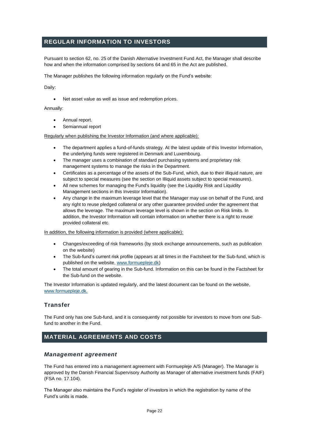# <span id="page-22-0"></span>**REGULAR INFORMATION TO INVESTORS**

Pursuant to section 62, no. 25 of the Danish Alternative Investment Fund Act, the Manager shall describe how and when the information comprised by sections 64 and 65 in the Act are published.

The Manager publishes the following information regularly on the Fund's website:

Daily:

• Net asset value as well as issue and redemption prices.

#### Annually:

- Annual report.
- Semiannual report

Regularly when publishing the Investor Information (and where applicable):

- The department applies a fund-of-funds strategy. At the latest update of this Investor Information, the underlying funds were registered in Denmark and Luxembourg.
- The manager uses a combination of standard purchasing systems and proprietary risk management systems to manage the risks in the Department.
- Certificates as a percentage of the assets of the Sub-Fund, which, due to their illiquid nature, are subject to special measures (see the section on Illiquid assets subject to special measures).
- All new schemes for managing the Fund's liquidity (see the Liquidity Risk and Liquidity Management sections in this Investor Information).
- Any change in the maximum leverage level that the Manager may use on behalf of the Fund, and any right to reuse pledged collateral or any other guarantee provided under the agreement that allows the leverage. The maximum leverage level is shown in the section on Risk limits. In addition, the Investor Information will contain information on whether there is a right to reuse provided collateral etc.

#### In addition, the following information is provided (where applicable):

- Changes/exceeding of risk frameworks (by stock exchange announcements, such as publication on the website)
- The Sub-fund's current risk profile (appears at all times in the Factsheet for the Sub-fund, which is published on the website, [www.formuepleje.dk\)](http://www.formuepleje.dk/)
- The total amount of gearing in the Sub-fund. Information on this can be found in the Factsheet for the Sub-fund on the website.

The Investor Information is updated regularly, and the latest document can be found on the website, [www.formuepleje.dk.](http://www.formuepleje.dk./)

## <span id="page-22-1"></span>**Transfer**

The Fund only has one Sub-fund, and it is consequently not possible for investors to move from one Subfund to another in the Fund.

# <span id="page-22-2"></span>**MATERIAL AGREEMENTS AND COSTS**

## *Management agreement*

The Fund has entered into a management agreement with Formuepleje A/S (Manager). The Manager is approved by the Danish Financial Supervisory Authority as Manager of alternative investment funds (FAIF) (FSA no. 17.104).

The Manager also maintains the Fund's register of investors in which the registration by name of the Fund's units is made.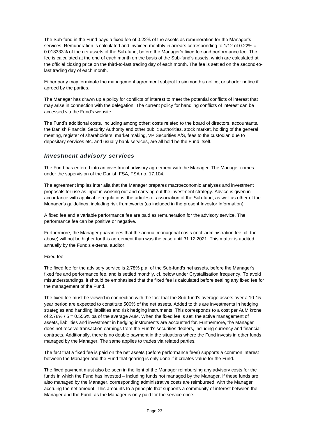The Sub-fund in the Fund pays a fixed fee of 0.22% of the assets as remuneration for the Manager's services. Remuneration is calculated and invoiced monthly in arrears corresponding to 1/12 of 0.22% = 0.018333% of the net assets of the Sub-fund, before the Manager's fixed fee and performance fee. The fee is calculated at the end of each month on the basis of the Sub-fund's assets, which are calculated at the official closing price on the third-to-last trading day of each month. The fee is settled on the second-tolast trading day of each month.

Either party may terminate the management agreement subject to six month's notice, or shorter notice if agreed by the parties.

The Manager has drawn up a policy for conflicts of interest to meet the potential conflicts of interest that may arise in connection with the delegation. The current policy for handling conflicts of interest can be accessed via the Fund's website.

The Fund's additional costs, including among other: costs related to the board of directors, accountants, the Danish Financial Security Authority and other public authorities, stock market, holding of the general meeting, register of shareholders, market making, VP Securities A/S, fees to the custodian due to depositary services etc. and usually bank services, are all hold be the Fund itself.

## *Investment advisory services*

The Fund has entered into an investment advisory agreement with the Manager. The Manager comes under the supervision of the Danish FSA, FSA no. 17.104.

The agreement implies inter alia that the Manager prepares macroeconomic analyses and investment proposals for use as input in working out and carrying out the investment strategy. Advice is given in accordance with applicable regulations, the articles of association of the Sub-fund, as well as other of the Manager's guidelines, including risk frameworks (as included in the present Investor Information).

A fixed fee and a variable performance fee are paid as remuneration for the advisory service. The performance fee can be positive or negative.

Furthermore, the Manager guarantees that the annual managerial costs (incl. administration fee, cf. the above) will not be higher for this agreement than was the case until 31.12.2021. This matter is audited annually by the Fund's external auditor.

## Fixed fee

The fixed fee for the advisory service is 2.78% p.a. of the Sub-fund's net assets, before the Manager's fixed fee and performance fee, and is settled monthly, cf. below under Crystallisation frequency. To avoid misunderstandings, it should be emphasised that the fixed fee is calculated before settling any fixed fee for the management of the Fund.

The fixed fee must be viewed in connection with the fact that the Sub-fund's average assets over a 10-15 year period are expected to constitute 500% of the net assets. Added to this are investments in hedging strategies and handling liabilities and risk hedging instruments. This corresponds to a cost per AuM krone of 2.78% / 5 = 0.556% pa of the average AuM. When the fixed fee is set, the active management of assets, liabilities and investment in hedging instruments are accounted for. Furthermore, the Manager does not receive transaction earnings from the Fund's securities dealers, including currency and financial contracts. Additionally, there is no double payment in the situations where the Fund invests in other funds managed by the Manager. The same applies to trades via related parties.

The fact that a fixed fee is paid on the net assets (before performance fees) supports a common interest between the Manager and the Fund that gearing is only done if it creates value for the Fund.

The fixed payment must also be seen in the light of the Manager reimbursing any advisory costs for the funds in which the Fund has invested – including funds not managed by the Manager. If these funds are also managed by the Manager, corresponding administrative costs are reimbursed, with the Manager accruing the net amount. This amounts to a principle that supports a community of interest between the Manager and the Fund, as the Manager is only paid for the service once.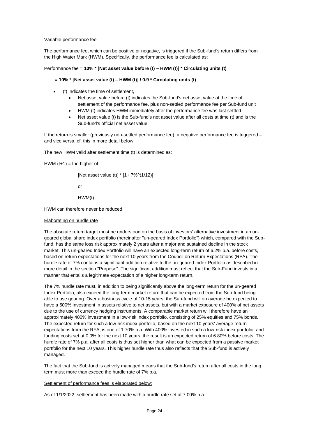#### Variable performance fee

The performance fee, which can be positive or negative, is triggered if the Sub-fund's return differs from the High Water Mark (HWM). Specifically, the performance fee is calculated as:

#### Performance fee = **10% \* [Net asset value before (t) – HWM (t)] \* Circulating units (t)**

#### **= 10% \* [Net asset value (t) – HWM (t)] / 0.9 \* Circulating units (t)**

- (t) indicates the time of settlement,
	- Net asset value before (t) indicates the Sub-fund's net asset value at the time of settlement of the performance fee, plus non-settled performance fee per Sub-fund unit
	- HWM (t) indicates HWM immediately after the performance fee was last settled
	- Net asset value (t) is the Sub-fund's net asset value after all costs at time (t) and is the Sub-fund's official net asset value.

If the return is smaller (previously non-settled performance fee), a negative performance fee is triggered – and vice versa, cf. this in more detail below.

The new HWM valid after settlement time (t) is determined as:

HWM  $(t+1)$  = the higher of:

[Net asset value (t)] \* [1+ 7%^(1/12)]

or

HWM(t)

HWM can therefore never be reduced.

#### Elaborating on hurdle rate

The absolute return target must be understood on the basis of investors' alternative investment in an ungeared global share index portfolio (hereinafter "un-geared Index Portfolio") which, compared with the Subfund, has the same loss risk approximately 2 years after a major and sustained decline in the stock market. This un-geared Index Portfolio will have an expected long-term return of 6.2% p.a. before costs, based on return expectations for the next 10 years from the Council on Return Expectations (RFA). The hurdle rate of 7% contains a significant addition relative to the un-geared Index Portfolio as described in more detail in the section "Purpose". The significant addition must reflect that the Sub-Fund invests in a manner that entails a legitimate expectation of a higher long-term return.

The 7% hurdle rate must, in addition to being significantly above the long-term return for the un-geared Index Portfolio, also exceed the long-term market return that can be expected from the Sub-fund being able to use gearing. Over a business cycle of 10-15 years, the Sub-fund will on average be expected to have a 500% investment in assets relative to net assets, but with a market exposure of 400% of net assets due to the use of currency hedging instruments. A comparable market return will therefore have an approximately 400% investment in a low-risk index portfolio, consisting of 25% equities and 75% bonds. The expected return for such a low-risk index portfolio, based on the next 10 years' average return expectations from the RFA, is one of 1.70% p.a. With 400% invested in such a low-risk index portfolio, and funding costs set at 0.0% for the next 10 years, the result is an expected return of 6.80% before costs. The hurdle rate of 7% p.a. after all costs is thus set higher than what can be expected from a passive market portfolio for the next 10 years. This higher hurdle rate thus also reflects that the Sub-fund is actively managed.

The fact that the Sub-fund is actively managed means that the Sub-fund's return after all costs in the long term must more than exceed the hurdle rate of 7% p.a.

#### Settlement of performance fees is elaborated below:

As of 1/1/2022, settlement has been made with a hurdle rate set at 7.00% p.a.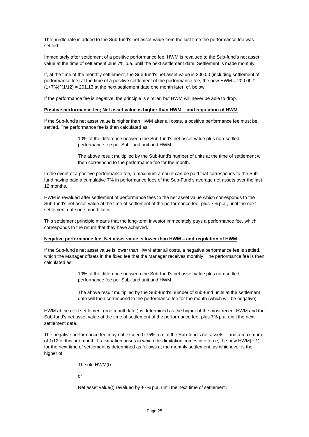The hurdle rate is added to the Sub-fund's net asset value from the last time the performance fee was settled.

Immediately after settlement of a positive performance fee, HWM is revalued to the Sub-fund's net asset value at the time of settlement plus 7% p.a. until the next settlement date. Settlement is made monthly.

If, at the time of the monthly settlement, the Sub-fund's net asset value is 200.00 (including settlement of performance fee) at the time of a positive settlement of the performance fee, the new HWM = 200.00 \*  $(1+7%)$  $(1/12)$  = 201.13 at the next settlement date one month later, cf. below.

If the performance fee is negative, the principle is similar, but HWM will never be able to drop.

#### **Positive performance fee; Net asset value is higher than HWM – and regulation of HWM**

If the Sub-fund's net asset value is higher than HWM after all costs, a positive performance fee must be settled. The performance fee is then calculated as:

> 10% of the difference between the Sub-fund's net asset value plus non-settled performance fee per Sub-fund unit and HWM.

The above result multiplied by the Sub-fund's number of units at the time of settlement will then correspond to the performance fee for the month.

In the event of a positive performance fee, a maximum amount can be paid that corresponds to the Subfund having paid a cumulative 7% in performance fees of the Sub-Fund's average net assets over the last 12 months.

HWM is revalued after settlement of performance fees to the net asset value which corresponds to the Sub-fund's net asset value at the time of settlement of the performance fee, plus 7% p.a., until the next settlement date one month later.

This settlement principle means that the long-term investor immediately pays a performance fee, which corresponds to the return that they have achieved.

#### **Negative performance fee; Net asset value is lower than HWM – and regulation of HWM**

If the Sub-fund's net asset value is lower than HWM after all costs, a negative performance fee is settled, which the Manager offsets in the fixed fee that the Manager receives monthly. The performance fee is then calculated as:

> 10% of the difference between the Sub-fund's net asset value plus non-settled performance fee per Sub-fund unit and HWM.

The above result multiplied by the Sub-fund's number of sub-fund units at the settlement date will then correspond to the performance fee for the month (which will be negative).

HWM at the next settlement (one month later) is determined as the higher of the most recent HWM and the Sub-fund's net asset value at the time of settlement of the performance fee, plus 7% p.a. until the next settlement date.

The negative performance fee may not exceed 0.75% p.a. of the Sub-fund's net assets – and a maximum of 1/12 of this per month. If a situation arises in which this limitation comes into force, the new HWM(t+1) for the next time of settlement is determined as follows at the monthly settlement, as whichever is the higher of:

The old HWM(t)

or

Net asset value(t) revalued by +7% p.a. until the next time of settlement.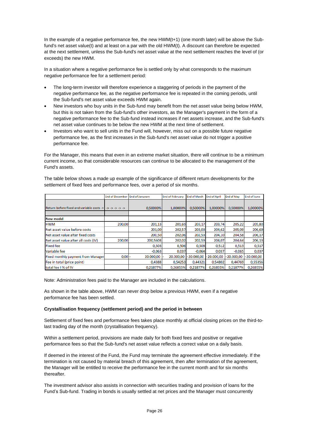In the example of a negative performance fee, the new HWM(t+1) (one month later) will be above the Subfund's net asset value(t) and at least on a par with the old HWM(t). A discount can therefore be expected at the next settlement, unless the Sub-fund's net asset value at the next settlement reaches the level of (or exceeds) the new HWM.

In a situation where a negative performance fee is settled only by what corresponds to the maximum negative performance fee for a settlement period:

- The long-term investor will therefore experience a staggering of periods in the payment of the negative performance fee, as the negative performance fee is repeated in the coming periods, until the Sub-fund's net asset value exceeds HWM again.
- New investors who buy units in the Sub-fund may benefit from the net asset value being below HWM, but this is not taken from the Sub-fund's other investors, as the Manager's payment in the form of a negative performance fee to the Sub-fund instead increases if net assets increase, and the Sub-fund's net asset value continues to be below the new HWM at the next time of settlement.
- Investors who want to sell units in the Fund will, however, miss out on a possible future negative performance fee, as the first increases in the Sub-fund's net asset value do not trigger a positive performance fee.

For the Manager, this means that even in an extreme market situation, there will continue to be a minimum current income, so that considerable resources can continue to be allocated to the management of the Fund's assets.

The table below shows a made up example of the significance of different return developments for the settlement of fixed fees and performance fees, over a period of six months.

|                                                             | <b>End of December</b> | <b>End of Janurary</b> | <b>End of February</b> | <b>End of March</b> | <b>End of April</b> | End of May   | <b>End of June</b> |
|-------------------------------------------------------------|------------------------|------------------------|------------------------|---------------------|---------------------|--------------|--------------------|
| Return before fixed and variable costs -> -> -> -> -> -> -> |                        | 0.50000%               | 1,00000%               | 0.50000%            | 1,00000%            | 0.50000%     | 1,00000%           |
| <b>New model</b>                                            |                        |                        |                        |                     |                     |              |                    |
| <b>HWM</b>                                                  | 200,00                 | 201,13                 | 201,69                 | 203,17              | 203,74              | 205,22       | 205,80             |
| Net asset value before costs                                |                        | 201,00                 | 202,57                 | 203,03              | 204,62              | 205,09       | 206,69             |
| Net asset value after fixed costs                           |                        | 200,50                 | 202,06                 | 202,53              | 204,10              | 204,58       | 206,17             |
| Net asset value after all costs (IV)                        | 200,00                 | 200,5608               | 202,02                 | 202,59              | 204.07              | 204.64       | 206,13             |
| <b>Fixed fee</b>                                            |                        | 0,503                  | 0,506                  | 0,508               | 0,512               | 0,513        | 0,517              |
| Variable fee                                                |                        | $-0.063$               | 0,037                  | $-0.064$            | 0,037               | $-0.065$     | 0,037              |
| <b>Fixed monthly payment from Manager</b>                   | 0,00                   | 20,000,00              | 20.000,00              | $-20.000.00$        | 20,000,00           | $-20.000.00$ | $-20.000.00$       |
| Fee in total (price point)                                  |                        | 0,4388                 | 0,54253                | 0,44321             | 0,54802             | 0,44769      | 0,55356            |
| total fee I % of IV                                         |                        | 0,21877%               | 0,26855%               | 0,21877%            | 0,26855%            | 0,21877%     | 0,26855%           |

Note: Administration fees paid to the Manager are included in the calculations.

As shown in the table above, HWM can never drop below a previous HWM, even if a negative performance fee has been settled.

## **Crystallisation frequency (settlement period) and the period in between**

Settlement of fixed fees and performance fees takes place monthly at official closing prices on the third-tolast trading day of the month (crystallisation frequency).

Within a settlement period, provisions are made daily for both fixed fees and positive or negative performance fees so that the Sub-fund's net asset value reflects a correct value on a daily basis.

If deemed in the interest of the Fund, the Fund may terminate the agreement effective immediately. If the termination is not caused by material breach of this agreement, then after termination of the agreement, the Manager will be entitled to receive the performance fee in the current month and for six months thereafter.

The investment advisor also assists in connection with securities trading and provision of loans for the Fund's Sub-fund. Trading in bonds is usually settled at net prices and the Manager must concurrently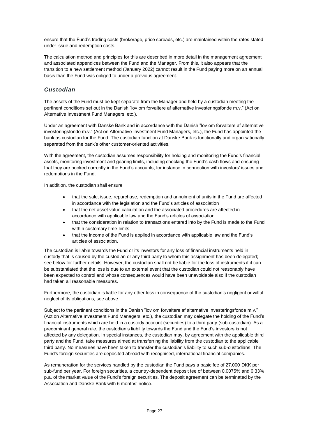ensure that the Fund's trading costs (brokerage, price spreads, etc.) are maintained within the rates stated under issue and redemption costs.

The calculation method and principles for this are described in more detail in the management agreement and associated appendices between the Fund and the Manager. From this, it also appears that the transition to a new settlement method (January 2022) cannot result in the Fund paying more on an annual basis than the Fund was obliged to under a previous agreement.

# *Custodian*

The assets of the Fund must be kept separate from the Manager and held by a custodian meeting the pertinent conditions set out in the Danish "lov om forvaltere af alternative investeringsfonde m.v." (Act on Alternative Investment Fund Managers, etc.).

Under an agreement with Danske Bank and in accordance with the Danish "lov om forvaltere af alternative investeringsfonde m.v." (Act on Alternative Investment Fund Managers, etc.), the Fund has appointed the bank as custodian for the Fund. The custodian function at Danske Bank is functionally and organisationally separated from the bank's other customer-oriented activities.

With the agreement, the custodian assumes responsibility for holding and monitoring the Fund's financial assets, monitoring investment and gearing limits, including checking the Fund's cash flows and ensuring that they are booked correctly in the Fund's accounts, for instance in connection with investors' issues and redemptions in the Fund.

In addition, the custodian shall ensure

- that the sale, issue, repurchase, redemption and annulment of units in the Fund are affected in accordance with the legislation and the Fund's articles of association
- that the net asset value calculation and the associated procedures are affected in accordance with applicable law and the Fund's articles of association
- that the consideration in relation to transactions entered into by the Fund is made to the Fund within customary time-limits
- that the income of the Fund is applied in accordance with applicable law and the Fund's articles of association.

The custodian is liable towards the Fund or its investors for any loss of financial instruments held in custody that is caused by the custodian or any third party to whom this assignment has been delegated; see below for further details. However, the custodian shall not be liable for the loss of instruments if it can be substantiated that the loss is due to an external event that the custodian could not reasonably have been expected to control and whose consequences would have been unavoidable also if the custodian had taken all reasonable measures.

Furthermore, the custodian is liable for any other loss in consequence of the custodian's negligent or wilful neglect of its obligations, see above.

Subject to the pertinent conditions in the Danish "lov om forvaltere af alternative investeringsfonde m.v." (Act on Alternative Investment Fund Managers, etc.), the custodian may delegate the holding of the Fund's financial instruments which are held in a custody account (securities) to a third party (sub-custodian). As a predominant general rule, the custodian's liability towards the Fund and the Fund's investors is not affected by any delegation. In special instances, the custodian may, by agreement with the applicable third party and the Fund, take measures aimed at transferring the liability from the custodian to the applicable third party. No measures have been taken to transfer the custodian's liability to such sub-custodians. The Fund's foreign securities are deposited abroad with recognised, international financial companies.

As remuneration for the services handled by the custodian the Fund pays a basic fee of 27.000 DKK per sub-fund per year. For foreign securities, a country-dependent deposit fee of between 0.0075% and 0.33% p.a. of the market value of the Fund's foreign securities. The deposit agreement can be terminated by the Association and Danske Bank with 6 months' notice.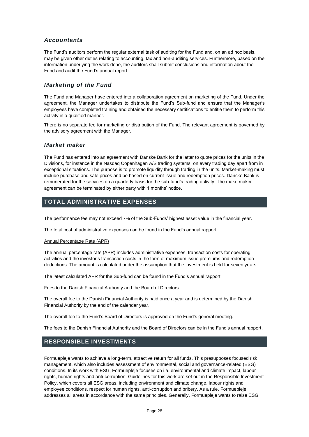# *Accountants*

The Fund's auditors perform the regular external task of auditing for the Fund and, on an ad hoc basis, may be given other duties relating to accounting, tax and non-auditing services. Furthermore, based on the information underlying the work done, the auditors shall submit conclusions and information about the Fund and audit the Fund's annual report.

# *Marketing of the Fund*

The Fund and Manager have entered into a collaboration agreement on marketing of the Fund. Under the agreement, the Manager undertakes to distribute the Fund's Sub-fund and ensure that the Manager's employees have completed training and obtained the necessary certifications to entitle them to perform this activity in a qualified manner.

There is no separate fee for marketing or distribution of the Fund. The relevant agreement is governed by the advisory agreement with the Manager.

## *Market maker*

The Fund has entered into an agreement with Danske Bank for the latter to quote prices for the units in the Divisions, for instance in the Nasdaq Copenhagen A/S trading systems, on every trading day apart from in exceptional situations. The purpose is to promote liquidity through trading in the units. Market-making must include purchase and sale prices and be based on current issue and redemption prices. Danske Bank is remunerated for the services on a quarterly basis for the sub-fund's trading activity. The make maker agreement can be terminated by either party with 1 months' notice.

# <span id="page-28-0"></span>**TOTAL ADMINISTRATIVE EXPENSES**

The performance fee may not exceed 7% of the Sub-Funds' highest asset value in the financial year.

The total cost of administrative expenses can be found in the Fund's annual rapport.

## Annual Percentage Rate (APR)

The annual percentage rate (APR) includes administrative expenses, transaction costs for operating activities and the investor's transaction costs in the form of maximum issue premiums and redemption deductions. The amount is calculated under the assumption that the investment is held for seven years.

The latest calculated APR for the Sub-fund can be found in the Fund's annual rapport.

## Fees to the Danish Financial Authority and the Board of Directors

The overall fee to the Danish Financial Authority is paid once a year and is determined by the Danish Financial Authority by the end of the calendar year,

The overall fee to the Fund's Board of Directors is approved on the Fund's general meeting.

The fees to the Danish Financial Authority and the Board of Directors can be in the Fund's annual rapport.

# <span id="page-28-1"></span>**RESPONSIBLE INVESTMENTS**

Formuepleje wants to achieve a long-term, attractive return for all funds. This presupposes focused risk management, which also includes assessment of environmental, social and governance-related (ESG) conditions. In its work with ESG, Formuepleje focuses on i.a. environmental and climate impact, labour rights, human rights and anti-corruption. Guidelines for this work are set out in the Responsible Investment Policy, which covers all ESG areas, including environment and climate change, labour rights and employee conditions, respect for human rights, anti-corruption and bribery. As a rule, Formuepleje addresses all areas in accordance with the same principles. Generally, Formuepleje wants to raise ESG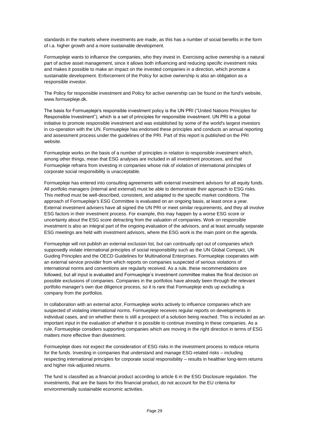standards in the markets where investments are made, as this has a number of social benefits in the form of i.a. higher growth and a more sustainable development.

Formuepleje wants to influence the companies, who they invest in. Exercising active ownership is a natural part of active asset management, since it allows both influencing and reducing specific investment risks and makes it possible to make an impact on the invested companies in a direction, which promote a sustainable development. Enforcement of the Policy for active ownership is also an obligation as a responsible investor.

The Policy for responsible investment and Policy for active ownership can be found on the fund's website, www.formuepleje.dk.

The basis for Formuepleje's responsible investment policy is the UN PRI ("United Nations Principles for Responsible Investment"), which is a set of principles for responsible investment. UN PRI is a global initiative to promote responsible investment and was established by some of the world's largest investors in co-operation with the UN. Formuepleje has endorsed these principles and conducts an annual reporting and assessment process under the guidelines of the PRI. Part of this report is published on the PRI website.

Formuepleje works on the basis of a number of principles in relation to responsible investment which, among other things, mean that ESG analyses are included in all investment processes, and that Formuepleje refrains from investing in companies whose risk of violation of international principles of corporate social responsibility is unacceptable.

Formuepleje has entered into consulting agreements with external investment advisors for all equity funds. All portfolio managers (internal and external) must be able to demonstrate their approach to ESG risks. This method must be well-described, consistent, and adapted to the specific market conditions. The approach of Formuepleje's ESG Committee is evaluated on an ongoing basis, at least once a year. External investment advisers have all signed the UN PRI or meet similar requirements, and they all involve ESG factors in their investment process. For example, this may happen by a worse ESG score or uncertainty about the ESG score detracting from the valuation of companies. Work on responsible investment is also an integral part of the ongoing evaluation of the advisors, and at least annually separate ESG meetings are held with investment advisors, where the ESG work is the main point on the agenda.

Formuepleje will not publish an external exclusion list, but can continually opt out of companies which supposedly violate international principles of social responsibility such as the UN Global Compact, UN Guiding Principles and the OECD Guidelines for Multinational Enterprises. Formuepleje cooperates with an external service provider from which reports on companies suspected of serious violations of international norms and conventions are regularly received. As a rule, these recommendations are followed, but all input is evaluated and Formuepleje's investment committee makes the final decision on possible exclusions of companies. Companies in the portfolios have already been through the relevant portfolio manager's own due diligence process, so it is rare that Formuepleje ends up excluding a company from the portfolios.

In collaboration with an external actor, Formuepleje works actively to influence companies which are suspected of violating international norms. Formuepleje receives regular reports on developments in individual cases, and on whether there is still a prospect of a solution being reached. This is included as an important input in the evaluation of whether it is possible to continue investing in these companies. As a rule, Formuepleje considers supporting companies which are moving in the right direction in terms of ESG matters more effective than divestment.

Formuepleje does not expect the consideration of ESG risks in the investment process to reduce returns for the funds. Investing in companies that understand and manage ESG-related risks – including respecting international principles for corporate social responsibility – results in healthier long-term returns and higher risk-adjusted returns.

The fund is classified as a financial product according to article 6 in the ESG Disclosure regulation. The investments, that are the basis for this financial product, do not account for the EU criteria for environmentally sustainable economic activities.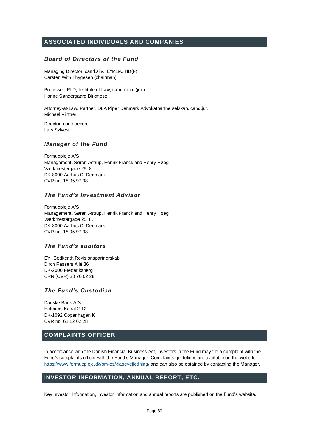# <span id="page-30-0"></span>**ASSOCIATED INDIVIDUALS AND COMPANIES**

## *Board of Directors of the Fund*

Managing Director, cand.silv., E\*MBA, HD(F) Carsten With Thygesen (chairman)

Professor, PhD, Institute of Law, cand.merc.(jur.) Hanne Søndergaard Birkmose

Attorney-at-Law, Partner, DLA Piper Denmark Advokatpartnerselskab, cand.jur. Michael Vinther

Director, cand.oecon Lars Sylvest

## *Manager of the Fund*

Formuepleje A/S Management, Søren Astrup, Henrik Franck and Henry Høeg Værkmestergade 25, 8. DK-8000 Aarhus C, Denmark CVR no. 18 05 97 38

## *The Fund's Investment Advisor*

Formuepleje A/S Management, Søren Astrup, Henrik Franck and Henry Høeg Værkmestergade 25, 8. DK-8000 Aarhus C, Denmark CVR no. 18 05 97 38

## *The Fund's auditors*

EY, Godkendt Revisionspartnerskab Dirch Passers Allé 36 DK-2000 Frederiksberg CRN (CVR) 30 70 02 28

# *The Fund's Custodian*

Danske Bank A/S Holmens Kanal 2-12 DK-1092 Copenhagen K CVR no. 61 12 62 28

# <span id="page-30-1"></span>**COMPLAINTS OFFICER**

In accordance with the Danish Financial Business Act, investors in the Fund may file a complaint with the Fund's complaints officer with the Fund's Manager. Complaints guidelines are available on the website <https://www.formuepleje.dk/om-os/klagevejledning/> and can also be obtained by contacting the Manager.

# <span id="page-30-2"></span>**INVESTOR INFORMATION, ANNUAL REPORT, ETC.**

Key Investor Information, Investor Information and annual reports are published on the Fund's website.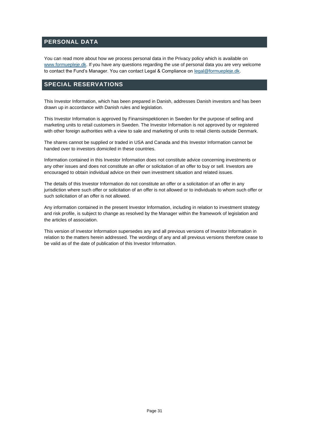# <span id="page-31-0"></span>**PERSONAL DATA**

You can read more about how we process personal data in the Privacy policy which is available on [www.formuepleje.dk.](http://www.formuepleje.dk/) If you have any questions regarding the use of personal data you are very welcome to contact the Fund's Manager. You can contact Legal & Compliance on [legal@formuepleje.dk.](mailto:legal@formuepleje.dk)

# <span id="page-31-1"></span>**SPECIAL RESERVATIONS**

This Investor Information, which has been prepared in Danish, addresses Danish investors and has been drawn up in accordance with Danish rules and legislation.

This Investor Information is approved by Finansinspektionen in Sweden for the purpose of selling and marketing units to retail customers in Sweden. The Investor Information is not approved by or registered with other foreign authorities with a view to sale and marketing of units to retail clients outside Denmark.

The shares cannot be supplied or traded in USA and Canada and this Investor Information cannot be handed over to investors domiciled in these countries.

Information contained in this Investor Information does not constitute advice concerning investments or any other issues and does not constitute an offer or solicitation of an offer to buy or sell. Investors are encouraged to obtain individual advice on their own investment situation and related issues.

The details of this Investor Information do not constitute an offer or a solicitation of an offer in any jurisdiction where such offer or solicitation of an offer is not allowed or to individuals to whom such offer or such solicitation of an offer is not allowed.

Any information contained in the present Investor Information, including in relation to investment strategy and risk profile, is subject to change as resolved by the Manager within the framework of legislation and the articles of association.

This version of Investor Information supersedes any and all previous versions of Investor Information in relation to the matters herein addressed. The wordings of any and all previous versions therefore cease to be valid as of the date of publication of this Investor Information.